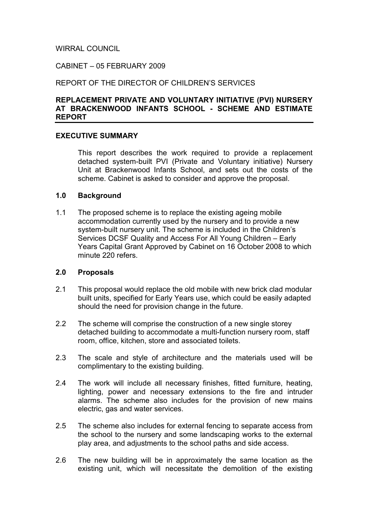# WIRRAL COUNCIL

## CABINET – 05 FEBRUARY 2009

## REPORT OF THE DIRECTOR OF CHILDREN'S SERVICES

## REPLACEMENT PRIVATE AND VOLUNTARY INITIATIVE (PVI) NURSERY AT BRACKENWOOD INFANTS SCHOOL - SCHEME AND ESTIMATE REPORT

#### EXECUTIVE SUMMARY

 This report describes the work required to provide a replacement detached system-built PVI (Private and Voluntary initiative) Nursery Unit at Brackenwood Infants School, and sets out the costs of the scheme. Cabinet is asked to consider and approve the proposal.

#### 1.0 Background

1.1 The proposed scheme is to replace the existing ageing mobile accommodation currently used by the nursery and to provide a new system-built nursery unit. The scheme is included in the Children's Services DCSF Quality and Access For All Young Children – Early Years Capital Grant Approved by Cabinet on 16 October 2008 to which minute 220 refers.

#### 2.0 Proposals

- 2.1 This proposal would replace the old mobile with new brick clad modular built units, specified for Early Years use, which could be easily adapted should the need for provision change in the future.
- 2.2 The scheme will comprise the construction of a new single storey detached building to accommodate a multi-function nursery room, staff room, office, kitchen, store and associated toilets.
- 2.3 The scale and style of architecture and the materials used will be complimentary to the existing building.
- 2.4 The work will include all necessary finishes, fitted furniture, heating, lighting, power and necessary extensions to the fire and intruder alarms. The scheme also includes for the provision of new mains electric, gas and water services.
- 2.5 The scheme also includes for external fencing to separate access from the school to the nursery and some landscaping works to the external play area, and adjustments to the school paths and side access.
- 2.6 The new building will be in approximately the same location as the existing unit, which will necessitate the demolition of the existing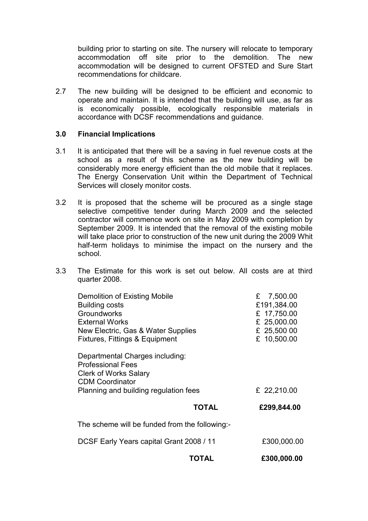building prior to starting on site. The nursery will relocate to temporary accommodation off site prior to the demolition. The new accommodation will be designed to current OFSTED and Sure Start recommendations for childcare.

2.7 The new building will be designed to be efficient and economic to operate and maintain. It is intended that the building will use, as far as is economically possible, ecologically responsible materials in accordance with DCSF recommendations and guidance.

## 3.0 Financial Implications

- 3.1 It is anticipated that there will be a saving in fuel revenue costs at the school as a result of this scheme as the new building will be considerably more energy efficient than the old mobile that it replaces. The Energy Conservation Unit within the Department of Technical Services will closely monitor costs.
- 3.2 It is proposed that the scheme will be procured as a single stage selective competitive tender during March 2009 and the selected contractor will commence work on site in May 2009 with completion by September 2009. It is intended that the removal of the existing mobile will take place prior to construction of the new unit during the 2009 Whit half-term holidays to minimise the impact on the nursery and the school.
- 3.3 The Estimate for this work is set out below. All costs are at third quarter 2008.

| Demolition of Existing Mobile<br><b>Building costs</b><br><b>Groundworks</b><br><b>External Works</b><br>New Electric, Gas & Water Supplies<br>Fixtures, Fittings & Equipment<br>Departmental Charges including:<br><b>Professional Fees</b> |              | 7,500.00<br>£<br>£191,384.00<br>£ 17,750.00<br>£ 25,000.00<br>£ 25,500 00<br>£ 10,500.00 |
|----------------------------------------------------------------------------------------------------------------------------------------------------------------------------------------------------------------------------------------------|--------------|------------------------------------------------------------------------------------------|
| <b>Clerk of Works Salary</b><br><b>CDM Coordinator</b><br>Planning and building regulation fees                                                                                                                                              |              | £ 22,210.00                                                                              |
|                                                                                                                                                                                                                                              | <b>TOTAL</b> | £299,844.00                                                                              |
| The scheme will be funded from the following:-                                                                                                                                                                                               |              |                                                                                          |
| DCSF Early Years capital Grant 2008 / 11                                                                                                                                                                                                     |              | £300,000.00                                                                              |
|                                                                                                                                                                                                                                              | TOTAL        | £300,000.00                                                                              |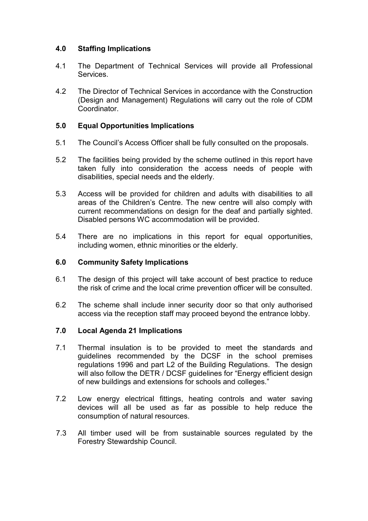# 4.0 Staffing Implications

- 4.1 The Department of Technical Services will provide all Professional Services.
- 4.2 The Director of Technical Services in accordance with the Construction (Design and Management) Regulations will carry out the role of CDM Coordinator.

# 5.0 Equal Opportunities Implications

- 5.1 The Council's Access Officer shall be fully consulted on the proposals.
- 5.2 The facilities being provided by the scheme outlined in this report have taken fully into consideration the access needs of people with disabilities, special needs and the elderly.
- 5.3 Access will be provided for children and adults with disabilities to all areas of the Children's Centre. The new centre will also comply with current recommendations on design for the deaf and partially sighted. Disabled persons WC accommodation will be provided.
- 5.4 There are no implications in this report for equal opportunities, including women, ethnic minorities or the elderly.

## 6.0 Community Safety Implications

- 6.1 The design of this project will take account of best practice to reduce the risk of crime and the local crime prevention officer will be consulted.
- 6.2 The scheme shall include inner security door so that only authorised access via the reception staff may proceed beyond the entrance lobby.

# 7.0 Local Agenda 21 Implications

- 7.1 Thermal insulation is to be provided to meet the standards and guidelines recommended by the DCSF in the school premises regulations 1996 and part L2 of the Building Regulations. The design will also follow the DETR / DCSF guidelines for "Energy efficient design of new buildings and extensions for schools and colleges."
- 7.2 Low energy electrical fittings, heating controls and water saving devices will all be used as far as possible to help reduce the consumption of natural resources.
- 7.3 All timber used will be from sustainable sources regulated by the Forestry Stewardship Council.